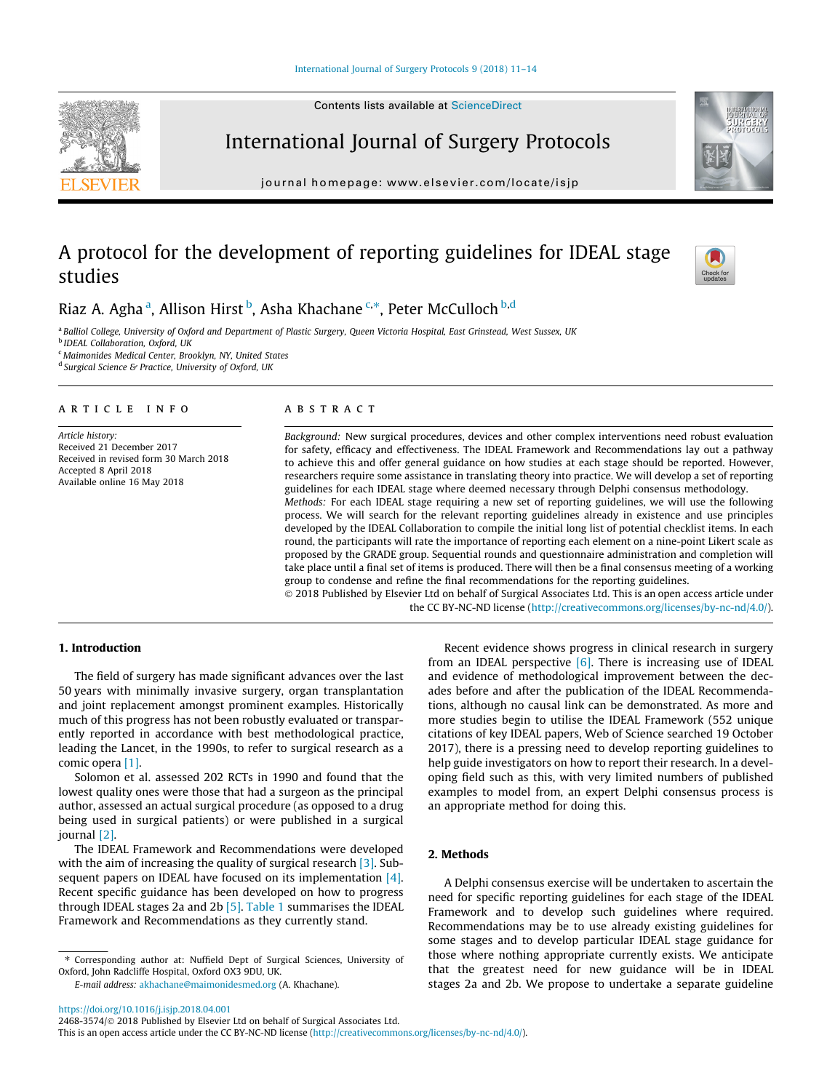

journal homepage: [www.elsevier.com/locate/isjp](http://www.elsevier.com/locate/isjp)

International Journal of Surgery Protocols

# A protocol for the development of reporting guidelines for IDEAL stage studies



Riaz A. Agha <sup>a</sup>, Allison Hirst <sup>b</sup>, Asha Khachane S,\*, Peter McCulloch <sup>b,d</sup>

a Balliol College, University of Oxford and Department of Plastic Surgery, Queen Victoria Hospital, East Grinstead, West Sussex, UK **b** IDEAL Collaboration, Oxford, UK <sup>c</sup> Maimonides Medical Center, Brooklyn, NY, United States

 $d$  Surgical Science & Practice, University of Oxford, UK

#### article info

Article history: Received 21 December 2017 Received in revised form 30 March 2018 Accepted 8 April 2018 Available online 16 May 2018

# ABSTRACT

Background: New surgical procedures, devices and other complex interventions need robust evaluation for safety, efficacy and effectiveness. The IDEAL Framework and Recommendations lay out a pathway to achieve this and offer general guidance on how studies at each stage should be reported. However, researchers require some assistance in translating theory into practice. We will develop a set of reporting guidelines for each IDEAL stage where deemed necessary through Delphi consensus methodology.

Methods: For each IDEAL stage requiring a new set of reporting guidelines, we will use the following process. We will search for the relevant reporting guidelines already in existence and use principles developed by the IDEAL Collaboration to compile the initial long list of potential checklist items. In each round, the participants will rate the importance of reporting each element on a nine-point Likert scale as proposed by the GRADE group. Sequential rounds and questionnaire administration and completion will take place until a final set of items is produced. There will then be a final consensus meeting of a working group to condense and refine the final recommendations for the reporting guidelines.

 2018 Published by Elsevier Ltd on behalf of Surgical Associates Ltd. This is an open access article under the CC BY-NC-ND license (<http://creativecommons.org/licenses/by-nc-nd/4.0/>).

# 1. Introduction

The field of surgery has made significant advances over the last 50 years with minimally invasive surgery, organ transplantation and joint replacement amongst prominent examples. Historically much of this progress has not been robustly evaluated or transparently reported in accordance with best methodological practice, leading the Lancet, in the 1990s, to refer to surgical research as a comic opera [\[1\]](#page-3-0).

Solomon et al. assessed 202 RCTs in 1990 and found that the lowest quality ones were those that had a surgeon as the principal author, assessed an actual surgical procedure (as opposed to a drug being used in surgical patients) or were published in a surgical journal [\[2\].](#page-3-0)

The IDEAL Framework and Recommendations were developed with the aim of increasing the quality of surgical research  $[3]$ . Subsequent papers on IDEAL have focused on its implementation [\[4\].](#page-3-0) Recent specific guidance has been developed on how to progress through IDEAL stages 2a and 2b [\[5\]](#page-3-0). [Table 1](#page-1-0) summarises the IDEAL Framework and Recommendations as they currently stand.

Recent evidence shows progress in clinical research in surgery from an IDEAL perspective  $[6]$ . There is increasing use of IDEAL and evidence of methodological improvement between the decades before and after the publication of the IDEAL Recommendations, although no causal link can be demonstrated. As more and more studies begin to utilise the IDEAL Framework (552 unique citations of key IDEAL papers, Web of Science searched 19 October 2017), there is a pressing need to develop reporting guidelines to help guide investigators on how to report their research. In a developing field such as this, with very limited numbers of published examples to model from, an expert Delphi consensus process is an appropriate method for doing this.

#### 2. Methods

A Delphi consensus exercise will be undertaken to ascertain the need for specific reporting guidelines for each stage of the IDEAL Framework and to develop such guidelines where required. Recommendations may be to use already existing guidelines for some stages and to develop particular IDEAL stage guidance for those where nothing appropriate currently exists. We anticipate that the greatest need for new guidance will be in IDEAL stages 2a and 2b. We propose to undertake a separate guideline

<sup>⇑</sup> Corresponding author at: Nuffield Dept of Surgical Sciences, University of Oxford, John Radcliffe Hospital, Oxford OX3 9DU, UK.

E-mail address: [akhachane@maimonidesmed.org](mailto:akhachane@maimonidesmed.org) (A. Khachane).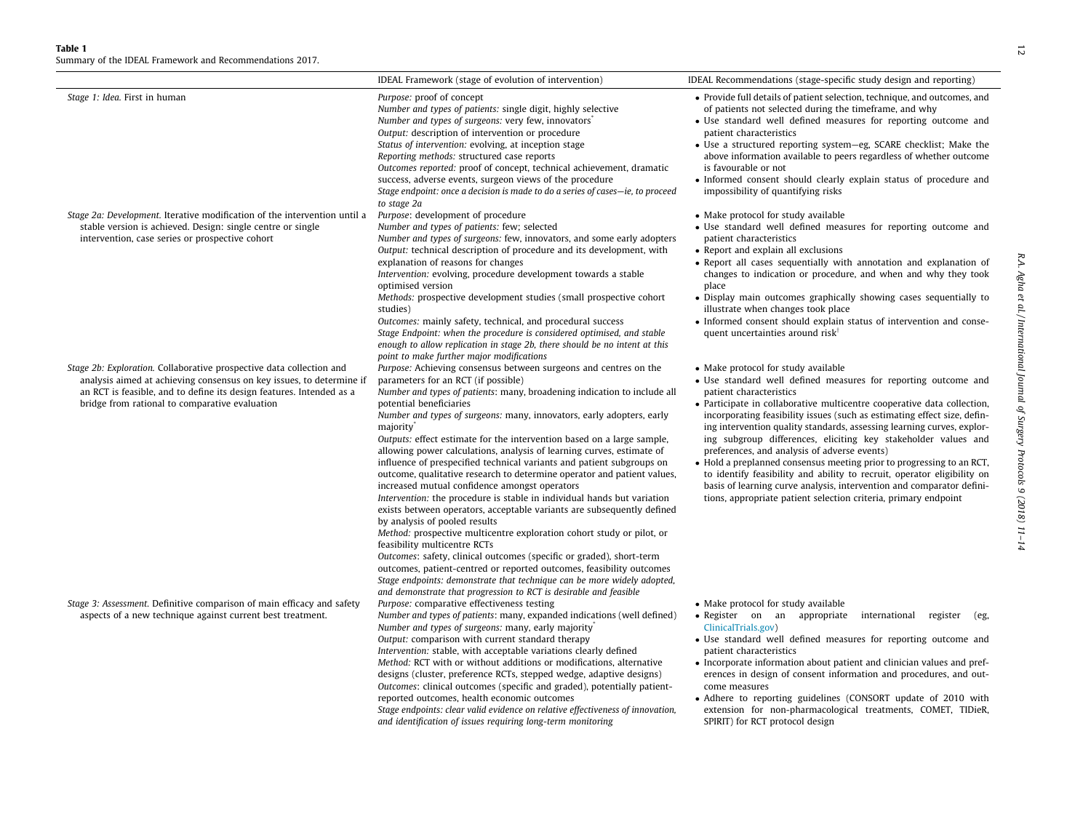<span id="page-1-0"></span>Summary of the IDEAL Framework and Recommendations 2017.

| Stage 1: Idea. First in human                                                                                                                                                                                                                                          | Purpose: proof of concept<br>Number and types of patients: single digit, highly selective<br>Number and types of surgeons: very few, innovators<br>Output: description of intervention or procedure<br>Status of intervention: evolving, at inception stage<br>Reporting methods: structured case reports<br>Outcomes reported: proof of concept, technical achievement, dramatic<br>success, adverse events, surgeon views of the procedure<br>Stage endpoint: once a decision is made to do a series of cases-ie, to proceed<br>to stage 2a                                                                                                                                                                                                                                                                                                                                                                                                                                                                                                                                                                                                                                                                                                                           | • Provide full details of patient selection, technique, and outcomes, and<br>of patients not selected during the timeframe, and why<br>• Use standard well defined measures for reporting outcome and<br>patient characteristics<br>• Use a structured reporting system-eg, SCARE checklist; Make the<br>above information available to peers regardless of whether outcome<br>is favourable or not<br>• Informed consent should clearly explain status of procedure and<br>impossibility of quantifying risks                                                                                                                                                                                                                                                                      |                                                                            |
|------------------------------------------------------------------------------------------------------------------------------------------------------------------------------------------------------------------------------------------------------------------------|-------------------------------------------------------------------------------------------------------------------------------------------------------------------------------------------------------------------------------------------------------------------------------------------------------------------------------------------------------------------------------------------------------------------------------------------------------------------------------------------------------------------------------------------------------------------------------------------------------------------------------------------------------------------------------------------------------------------------------------------------------------------------------------------------------------------------------------------------------------------------------------------------------------------------------------------------------------------------------------------------------------------------------------------------------------------------------------------------------------------------------------------------------------------------------------------------------------------------------------------------------------------------|-------------------------------------------------------------------------------------------------------------------------------------------------------------------------------------------------------------------------------------------------------------------------------------------------------------------------------------------------------------------------------------------------------------------------------------------------------------------------------------------------------------------------------------------------------------------------------------------------------------------------------------------------------------------------------------------------------------------------------------------------------------------------------------|----------------------------------------------------------------------------|
| Stage 2a: Development. Iterative modification of the intervention until a<br>stable version is achieved. Design: single centre or single<br>intervention, case series or prospective cohort                                                                            | Purpose: development of procedure<br>Number and types of patients: few; selected<br>Number and types of surgeons: few, innovators, and some early adopters<br>Output: technical description of procedure and its development, with<br>explanation of reasons for changes<br>Intervention: evolving, procedure development towards a stable<br>optimised version<br>Methods: prospective development studies (small prospective cohort<br>studies)<br>Outcomes: mainly safety, technical, and procedural success<br>Stage Endpoint: when the procedure is considered optimised, and stable<br>enough to allow replication in stage 2b, there should be no intent at this<br>point to make further major modifications                                                                                                                                                                                                                                                                                                                                                                                                                                                                                                                                                    | • Make protocol for study available<br>· Use standard well defined measures for reporting outcome and<br>patient characteristics<br>• Report and explain all exclusions<br>• Report all cases sequentially with annotation and explanation of<br>changes to indication or procedure, and when and why they took<br>place<br>• Display main outcomes graphically showing cases sequentially to<br>illustrate when changes took place<br>• Informed consent should explain status of intervention and conse-<br>quent uncertainties around risk <sup>†</sup>                                                                                                                                                                                                                          |                                                                            |
| Stage 2b: Exploration. Collaborative prospective data collection and<br>analysis aimed at achieving consensus on key issues, to determine if<br>an RCT is feasible, and to define its design features. Intended as a<br>bridge from rational to comparative evaluation | Purpose: Achieving consensus between surgeons and centres on the<br>parameters for an RCT (if possible)<br>Number and types of patients: many, broadening indication to include all<br>potential beneficiaries<br>Number and types of surgeons: many, innovators, early adopters, early<br>majority <sup>*</sup><br>Outputs: effect estimate for the intervention based on a large sample,<br>allowing power calculations, analysis of learning curves, estimate of<br>influence of prespecified technical variants and patient subgroups on<br>outcome, qualitative research to determine operator and patient values,<br>increased mutual confidence amongst operators<br>Intervention: the procedure is stable in individual hands but variation<br>exists between operators, acceptable variants are subsequently defined<br>by analysis of pooled results<br>Method: prospective multicentre exploration cohort study or pilot, or<br>feasibility multicentre RCTs<br>Outcomes: safety, clinical outcomes (specific or graded), short-term<br>outcomes, patient-centred or reported outcomes, feasibility outcomes<br>Stage endpoints: demonstrate that technique can be more widely adopted,<br>and demonstrate that progression to RCT is desirable and feasible | • Make protocol for study available<br>• Use standard well defined measures for reporting outcome and<br>patient characteristics<br>• Participate in collaborative multicentre cooperative data collection,<br>incorporating feasibility issues (such as estimating effect size, defin-<br>ing intervention quality standards, assessing learning curves, explor-<br>ing subgroup differences, eliciting key stakeholder values and<br>preferences, and analysis of adverse events)<br>• Hold a preplanned consensus meeting prior to progressing to an RCT,<br>to identify feasibility and ability to recruit, operator eligibility on<br>basis of learning curve analysis, intervention and comparator defini-<br>tions, appropriate patient selection criteria, primary endpoint | R.A. Agha et al./International Journal of Surgery Protocols 9 (2018) 11-14 |
| Stage 3: Assessment. Definitive comparison of main efficacy and safety<br>aspects of a new technique against current best treatment.                                                                                                                                   | Purpose: comparative effectiveness testing<br>Number and types of patients: many, expanded indications (well defined)<br>Number and types of surgeons: many, early majority                                                                                                                                                                                                                                                                                                                                                                                                                                                                                                                                                                                                                                                                                                                                                                                                                                                                                                                                                                                                                                                                                             | • Make protocol for study available<br>· Register on an appropriate international register<br>(eg,<br>ClinicalTrials.gov)<br>.                                                                                                                                                                                                                                                                                                                                                                                                                                                                                                                                                                                                                                                      |                                                                            |

IDEAL Framework (stage of evolution of intervention) IDEAL Recommendations (stage-specific study design and reporting)

Output: comparison with current standard therapy Intervention: stable, with acceptable variations clearly defined Method: RCT with or without additions or modifications, alternative designs (cluster, preference RCTs, stepped wedge, adaptive designs) Outcomes: clinical outcomes (specific and graded), potentially patientreported outcomes, health economic outcomes

Stage endpoints: clear valid evidence on relative effectiveness of innovation, and identification of issues requiring long-term monitoring

- Use standard well defined measures for reporting outcome and patient characteristics
- Incorporate information about patient and clinician values and preferences in design of consent information and procedures, and outcome measures
- Adhere to reporting guidelines (CONSORT update of 2010 with extension for non-pharmacological treatments, COMET, TIDieR, SPIRIT) for RCT protocol design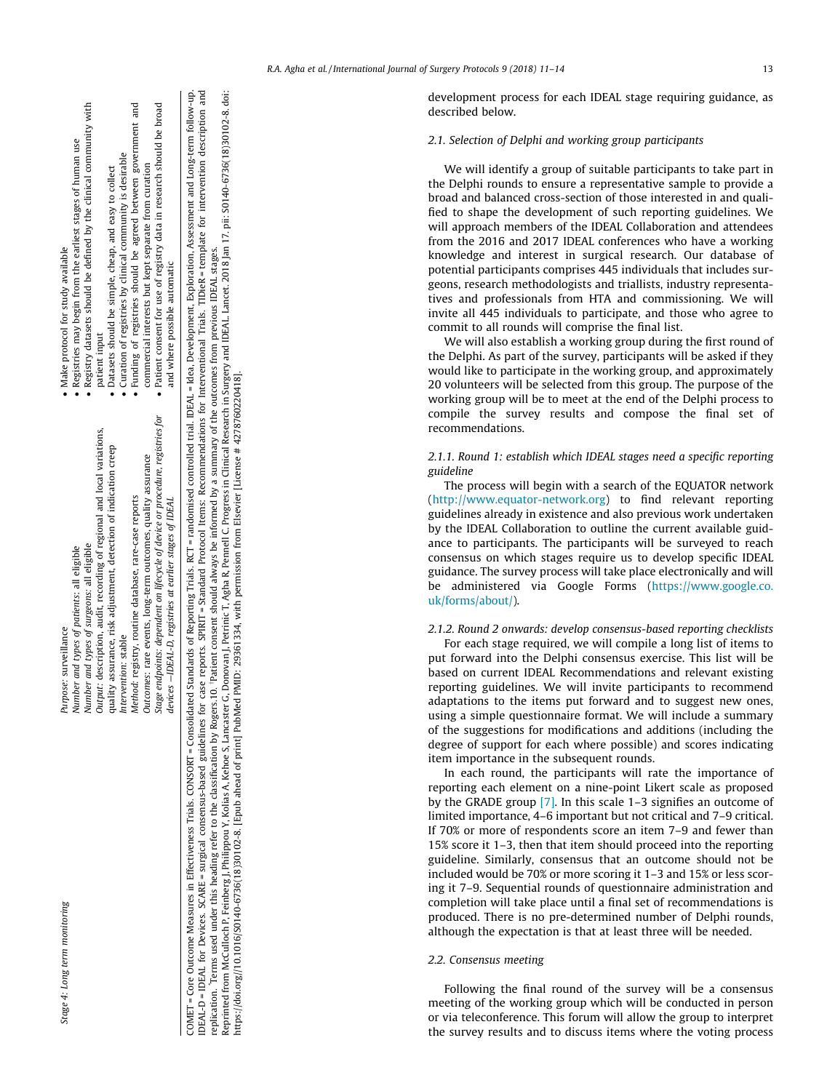| Stage 4: Long term monitoring | Purpose: surveillance                                                                                                                                                                                                 | • Make protocol for study available                                            |
|-------------------------------|-----------------------------------------------------------------------------------------------------------------------------------------------------------------------------------------------------------------------|--------------------------------------------------------------------------------|
|                               | Number and types of patients: all eligible                                                                                                                                                                            | • Registries may begin from the earliest stages of human use                   |
|                               | Number and types of surgeons: all eligible                                                                                                                                                                            | • Registry datasets should be defined by the clinical community with           |
|                               | Output: description, audit, recording of regional and local variations,                                                                                                                                               | patient input                                                                  |
|                               | quality assurance, risk adjustment, detection of indication creep                                                                                                                                                     | • Datasets should be simple, cheap, and easy to collect                        |
|                               | Intervention: stable                                                                                                                                                                                                  | • Curation of registries by clinical community is desirable                    |
|                               | Method: registry, routine database, rare-case reports                                                                                                                                                                 | • Funding of registries should be agreed between government and                |
|                               | Outcomes: rare events, long-term outcomes, quality assurance                                                                                                                                                          | commercial interests but kept separate from curation                           |
|                               | Stage endpoints: dependent on lifecycle of device or procedure, registries for                                                                                                                                        | $\bullet$ Patient consent for use of registry data in research should be broad |
|                               | devices $-$ IDEAL-D, registries at earlier stages of IDEAL                                                                                                                                                            | and where possible automatic                                                   |
|                               | MET = Core Outcome Measures in Effectiveness Trials. CONSORT = Consolidated Standate of Reporting Trials. RCT = randomised controlled trial. IDEAL = Idea, Development. Exploration, Assessment and Long-term follow- |                                                                                |

 $\overline{E}$ 

Å ਦ੍ਹ

 $w$ -up. COMET = Core Outcome Measures in Effectiveness Trials. CONSORT = Consolidated Standards of Reporting Trials. RCT = randomised controlled trial. IDEAL = Idea, Development, Exploration, Assessment and Long-term follow-up. reports. SPIRIT = Standard Protocol Items: Recommendations for Interventional Trials. TIDieR = template for intervention description and IDEAL-D = IDEAL for Devices. SCARE = surgical consensus-based guidelines for case reports. SPIRIT = Standard Protocol Items: Recommendations for Interventional Trials. TIDieR = template for intervention description and Reprinted from McCulloch P, Feinberg J, Philippou Y, Kolias A, Kehoe S, Lancaster G, Donovan J, Petrinic T, Agha R, Pennell C. Progress in Clinical Research in Surgery and IDEAL. Lancet. 2018 Jan 17. pii: S0140-6736(18)301 Reprinted from McCulloch P, Feinberg J, Philippou Y, Kolias A, Kehoe S, Lancaster G, Donovan J, Petrinic T, Agha R, Pennell C. Progress in Clinical Research in Surgery and IDEAL. Lancet. 2018 Jan 17. pii: S0140-6736(18)301 replication. Terms used under this heading refer to the classification by Rogers.10. Patient consent should always be informed by a summary of the outcomes from previous IDEAL stages. replication. Terms used under this heading refer to the classification by Rogers.10. Patient consent should always be informed by a summary of the outcomes from previous IDEAL stages. https://doi.org//10.1016/S0140-6736(18)30102-8. [Epub ahead of print] PubMed PMID: 29361334, with permission from Elsevier [License # 4278760220418]. COMET = Core Outcome Measures in Effectiveness Trials. CONSORT = Consolidated Stan<br>DEAL-D = IDEAL for Devices. SCARE = surgical consensus-based guidelines for case

# R.A. Agha et al. / International Journal of Surgery Protocols 9 (2018) 11-14 13

development process for each IDEAL stage requiring guidance, as described below.

# 2.1. Selection of Delphi and working group participants

We will identify a group of suitable participants to take part in the Delphi rounds to ensure a representative sample to provide a broad and balanced cross-section of those interested in and qualified to shape the development of such reporting guidelines. We will approach members of the IDEAL Collaboration and attendees from the 2016 and 2017 IDEAL conferences who have a working knowledge and interest in surgical research. Our database of potential participants comprises 445 individuals that includes surgeons, research methodologists and triallists, industry representatives and professionals from HTA and commissioning. We will invite all 445 individuals to participate, and those who agree to commit to all rounds will comprise the final list.

We will also establish a working group during the first round of the Delphi. As part of the survey, participants will be asked if they would like to participate in the working group, and approximately 20 volunteers will be selected from this group. The purpose of the working group will be to meet at the end of the Delphi process to compile the survey results and compose the final set of recommendations.

# 2.1.1. Round 1: establish which IDEAL stages need a specific reporting guideline

The process will begin with a search of the EQUATOR network ([http://www.equator-network.org\)](http://www.equator-network.org) to find relevant reporting guidelines already in existence and also previous work undertaken by the IDEAL Collaboration to outline the current available guidance to participants. The participants will be surveyed to reach consensus on which stages require us to develop specific IDEAL guidance. The survey process will take place electronically and will be administered via Google Forms [\(https://www.google.co.](https://www.google.co.uk/forms/about/) [uk/forms/about/](https://www.google.co.uk/forms/about/)).

#### 2.1.2. Round 2 onwards: develop consensus-based reporting checklists

For each stage required, we will compile a long list of items to put forward into the Delphi consensus exercise. This list will be based on current IDEAL Recommendations and relevant existing reporting guidelines. We will invite participants to recommend adaptations to the items put forward and to suggest new ones, using a simple questionnaire format. We will include a summary of the suggestions for modifications and additions (including the degree of support for each where possible) and scores indicating item importance in the subsequent rounds.

In each round, the participants will rate the importance of reporting each element on a nine-point Likert scale as proposed by the GRADE group [\[7\].](#page-3-0) In this scale 1–3 signifies an outcome of limited importance, 4–6 important but not critical and 7–9 critical. If 70% or more of respondents score an item 7–9 and fewer than 15% score it 1–3, then that item should proceed into the reporting guideline. Similarly, consensus that an outcome should not be included would be 70% or more scoring it 1–3 and 15% or less scoring it 7–9. Sequential rounds of questionnaire administration and completion will take place until a final set of recommendations is produced. There is no pre-determined number of Delphi rounds, although the expectation is that at least three will be needed.

#### 2.2. Consensus meeting

Following the final round of the survey will be a consensus meeting of the working group which will be conducted in person or via teleconference. This forum will allow the group to interpret the survey results and to discuss items where the voting process